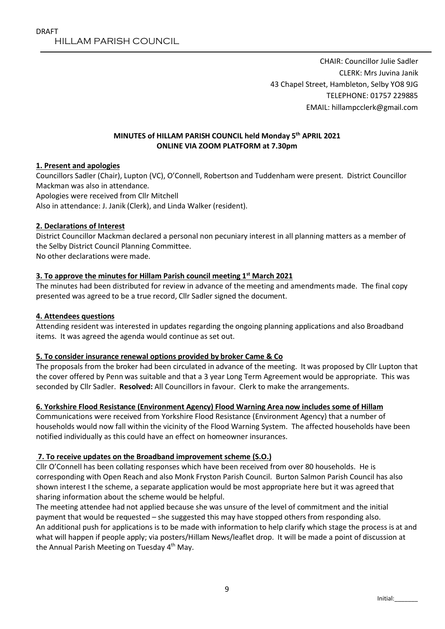CHAIR: Councillor Julie Sadler CLERK: Mrs Juvina Janik 43 Chapel Street, Hambleton, Selby YO8 9JG TELEPHONE: 01757 229885 EMAIL: hillampcclerk@gmail.com

### MINUTES of HILLAM PARISH COUNCIL held Monday 5th APRIL 2021 ONLINE VIA ZOOM PLATFORM at 7.30pm

### 1. Present and apologies

Councillors Sadler (Chair), Lupton (VC), O'Connell, Robertson and Tuddenham were present. District Councillor Mackman was also in attendance. Apologies were received from Cllr Mitchell Also in attendance: J. Janik (Clerk), and Linda Walker (resident).

#### 2. Declarations of Interest

District Councillor Mackman declared a personal non pecuniary interest in all planning matters as a member of the Selby District Council Planning Committee.

No other declarations were made.

### 3. To approve the minutes for Hillam Parish council meeting  $1<sup>st</sup>$  March 2021

The minutes had been distributed for review in advance of the meeting and amendments made. The final copy presented was agreed to be a true record, Cllr Sadler signed the document.

#### 4. Attendees questions

Attending resident was interested in updates regarding the ongoing planning applications and also Broadband items. It was agreed the agenda would continue as set out.

### 5. To consider insurance renewal options provided by broker Came & Co

The proposals from the broker had been circulated in advance of the meeting. It was proposed by Cllr Lupton that the cover offered by Penn was suitable and that a 3 year Long Term Agreement would be appropriate. This was seconded by Cllr Sadler. Resolved: All Councillors in favour. Clerk to make the arrangements.

### 6. Yorkshire Flood Resistance (Environment Agency) Flood Warning Area now includes some of Hillam

Communications were received from Yorkshire Flood Resistance (Environment Agency) that a number of households would now fall within the vicinity of the Flood Warning System. The affected households have been notified individually as this could have an effect on homeowner insurances.

### 7. To receive updates on the Broadband improvement scheme (S.O.)

Cllr O'Connell has been collating responses which have been received from over 80 households. He is corresponding with Open Reach and also Monk Fryston Parish Council. Burton Salmon Parish Council has also shown interest I the scheme, a separate application would be most appropriate here but it was agreed that sharing information about the scheme would be helpful.

The meeting attendee had not applied because she was unsure of the level of commitment and the initial payment that would be requested – she suggested this may have stopped others from responding also. An additional push for applications is to be made with information to help clarify which stage the process is at and what will happen if people apply; via posters/Hillam News/leaflet drop. It will be made a point of discussion at the Annual Parish Meeting on Tuesday 4<sup>th</sup> May.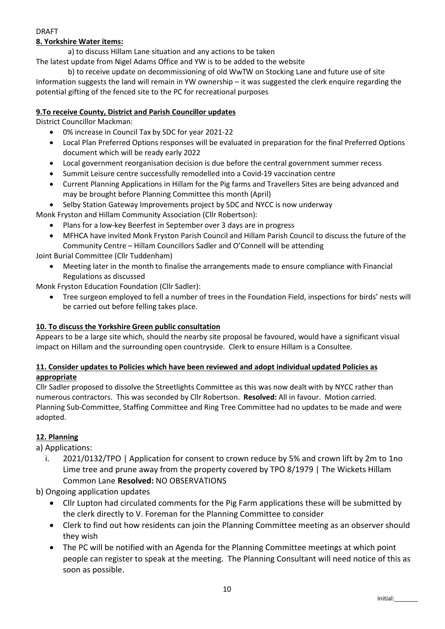# DRAFT

# 8. Yorkshire Water items:

a) to discuss Hillam Lane situation and any actions to be taken

The latest update from Nigel Adams Office and YW is to be added to the website

b) to receive update on decommissioning of old WwTW on Stocking Lane and future use of site Information suggests the land will remain in YW ownership – it was suggested the clerk enquire regarding the potential gifting of the fenced site to the PC for recreational purposes

### 9.To receive County, District and Parish Councillor updates

District Councillor Mackman:

- 0% increase in Council Tax by SDC for year 2021-22
- Local Plan Preferred Options responses will be evaluated in preparation for the final Preferred Options document which will be ready early 2022
- Local government reorganisation decision is due before the central government summer recess
- Summit Leisure centre successfully remodelled into a Covid-19 vaccination centre
- Current Planning Applications in Hillam for the Pig farms and Travellers Sites are being advanced and may be brought before Planning Committee this month (April)
- Selby Station Gateway Improvements project by SDC and NYCC is now underway

Monk Fryston and Hillam Community Association (Cllr Robertson):

- Plans for a low-key Beerfest in September over 3 days are in progress
- MFHCA have invited Monk Fryston Parish Council and Hillam Parish Council to discuss the future of the Community Centre – Hillam Councillors Sadler and O'Connell will be attending

Joint Burial Committee (Cllr Tuddenham)

 Meeting later in the month to finalise the arrangements made to ensure compliance with Financial Regulations as discussed

Monk Fryston Education Foundation (Cllr Sadler):

 Tree surgeon employed to fell a number of trees in the Foundation Field, inspections for birds' nests will be carried out before felling takes place.

# 10. To discuss the Yorkshire Green public consultation

Appears to be a large site which, should the nearby site proposal be favoured, would have a significant visual impact on Hillam and the surrounding open countryside. Clerk to ensure Hillam is a Consultee.

### 11. Consider updates to Policies which have been reviewed and adopt individual updated Policies as appropriate

Cllr Sadler proposed to dissolve the Streetlights Committee as this was now dealt with by NYCC rather than numerous contractors. This was seconded by Cllr Robertson. Resolved: All in favour. Motion carried. Planning Sub-Committee, Staffing Committee and Ring Tree Committee had no updates to be made and were adopted.

# 12. Planning

a) Applications:

- i. 2021/0132/TPO | Application for consent to crown reduce by 5% and crown lift by 2m to 1no Lime tree and prune away from the property covered by TPO 8/1979 | The Wickets Hillam Common Lane Resolved: NO OBSERVATIONS
- b) Ongoing application updates
	- Cllr Lupton had circulated comments for the Pig Farm applications these will be submitted by the clerk directly to V. Foreman for the Planning Committee to consider
	- Clerk to find out how residents can join the Planning Committee meeting as an observer should they wish
	- The PC will be notified with an Agenda for the Planning Committee meetings at which point people can register to speak at the meeting. The Planning Consultant will need notice of this as soon as possible.

10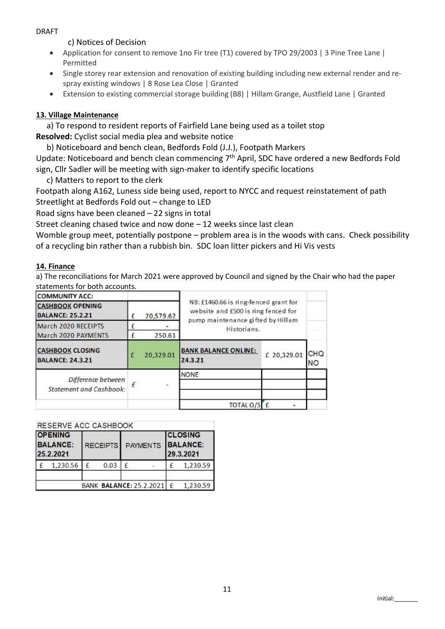### DRAFT

### c) Notices of Decision

- Application for consent to remove 1no Fir tree (T1) covered by TPO 29/2003 | 3 Pine Tree Lane | Permitted
- Single storey rear extension and renovation of existing building including new external render and respray existing windows | 8 Rose Lea Close | Granted
- Extension to existing commercial storage building (B8) | Hillam Grange, Austfield Lane | Granted

# 13. Village Maintenance

a) To respond to resident reports of Fairfield Lane being used as a toilet stop Resolved: Cyclist social media plea and website notice

b) Noticeboard and bench clean, Bedfords Fold (J.J.), Footpath Markers

Update: Noticeboard and bench clean commencing 7th April, SDC have ordered a new Bedfords Fold sign, Cllr Sadler will be meeting with sign-maker to identify specific locations

c) Matters to report to the clerk

Footpath along A162, Luness side being used, report to NYCC and request reinstatement of path Streetlight at Bedfords Fold out – change to LED

Road signs have been cleaned – 22 signs in total

Street cleaning chased twice and now done – 12 weeks since last clean

Womble group meet, potentially postpone – problem area is in the woods with cans. Check possibility of a recycling bin rather than a rubbish bin. SDC loan litter pickers and Hi Vis vests

### 14. Finance

a) The reconciliations for March 2021 were approved by Council and signed by the Chair who had the paper statements for both accounts.

| <b>COMMUNITY ACC:</b>                                |             |           |                                                                                                                   |             |           |  |  |
|------------------------------------------------------|-------------|-----------|-------------------------------------------------------------------------------------------------------------------|-------------|-----------|--|--|
| <b>CASHBOOK OPENING</b><br><b>BALANCE: 25.2.21</b>   |             | 20,579.62 | NB: £1460.66 is ring-fenced grant for<br>website and £500 is ring fenced for<br>pump maintenance gifted by Hillam |             |           |  |  |
| March 2020 RECEIPTS                                  | Historians. |           |                                                                                                                   |             |           |  |  |
| March 2020 PAYMENTS                                  |             | 250.61    |                                                                                                                   |             |           |  |  |
| <b>CASHBOOK CLOSING</b><br><b>BALANCE: 24.3.21</b>   |             | 20,329.01 | <b>BANK BALANCE ONLINE:</b><br>24.3.21                                                                            | £ 20,329.01 | CHQ<br>NO |  |  |
|                                                      |             |           | <b>NONE</b>                                                                                                       |             |           |  |  |
| Difference between<br><b>Statement and Cashbook:</b> |             | ÷.        |                                                                                                                   |             |           |  |  |
|                                                      |             |           | TOTAL O/S                                                                                                         |             |           |  |  |
|                                                      |             |           |                                                                                                                   |             |           |  |  |

| RESERVE ACC CASHBOOK<br><b>OPENING</b><br><b>BALANCE:</b><br>25.2.2021 |          |  |      | RECEIPTS PAYMENTS |                           | <b>CLOSING</b><br><b>BALANCE:</b><br>29.3.2021 |          |  |
|------------------------------------------------------------------------|----------|--|------|-------------------|---------------------------|------------------------------------------------|----------|--|
| f                                                                      | 1,230.56 |  | 0.03 |                   |                           |                                                | 1,230.59 |  |
|                                                                        |          |  |      |                   | BANK BALANCE: 25.2.2021 £ |                                                | 1,230.59 |  |